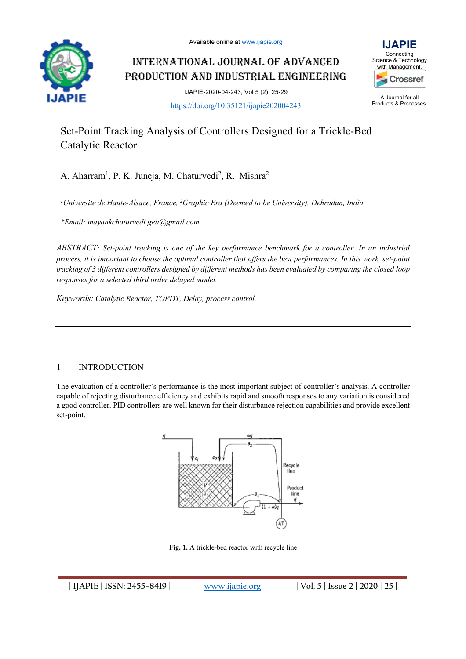

INTERNATIONAL JOURNAL OF ADVANCED PRODUCTION AND INDUSTRIAL ENGINEERING

> IJAPIE-2020-04-243, Vol 5 (2), 25-29 https://doi.org/10.35121/ijapie202004243



A Journal for all Products & Processes.

# Set-Point Tracking Analysis of Controllers Designed for a Trickle-Bed Catalytic Reactor

A. Aharram<sup>1</sup>, P. K. Juneja, M. Chaturvedi<sup>2</sup>, R. Mishra<sup>2</sup>

<sup>1</sup>Universite de Haute-Alsace, France, <sup>2</sup>Graphic Era (Deemed to be University), Dehradun, India

*\*Email: mayankchaturvedi.geit@gmail.com*

*ABSTRACT: Set-point tracking is one of the key performance benchmark for a controller. In an industrial process, it is important to choose the optimal controller that offers the best performances. In this work, set-point tracking of 3 different controllers designed by different methods has been evaluated by comparing the closed loop responses for a selected third order delayed model.*

*Keywords: Catalytic Reactor, TOPDT, Delay, process control.*

# 1 INTRODUCTION

The evaluation of a controller's performance is the most important subject of controller's analysis. A controller capable of rejecting disturbance efficiency and exhibits rapid and smooth responses to any variation is considered a good controller. PID controllers are well known for their disturbance rejection capabilities and provide excellent set-point.



**Fig. 1. A** trickle-bed reactor with recycle line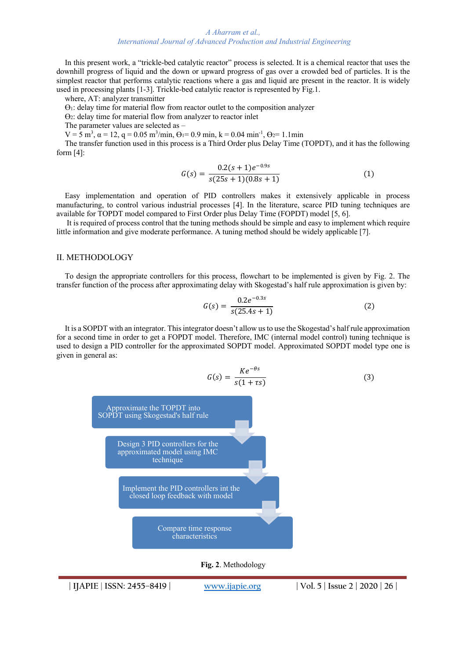#### *A Aharram et al., International Journal of Advanced Production and Industrial Engineering*

In this present work, a "trickle-bed catalytic reactor" process is selected. It is a chemical reactor that uses the downhill progress of liquid and the down or upward progress of gas over a crowded bed of particles. It is the simplest reactor that performs catalytic reactions where a gas and liquid are present in the reactor. It is widely used in processing plants [1-3]. Trickle-bed catalytic reactor is represented by Fig.1.

where, AT: analyzer transmitter

 $\Theta_1$ : delay time for material flow from reactor outlet to the composition analyzer

 $\Theta_2$ : delay time for material flow from analyzer to reactor inlet

The parameter values are selected as –

V = 5 m<sup>3</sup>,  $\alpha$  = 12, q = 0.05 m<sup>3</sup>/min,  $\Theta_1$  = 0.9 min, k = 0.04 min<sup>-1</sup>,  $\Theta_2$  = 1.1min

The transfer function used in this process is a Third Order plus Delay Time (TOPDT), and it has the following form [4]:

$$
G(s) = \frac{0.2(s+1)e^{-0.9s}}{s(25s+1)(0.8s+1)}
$$
(1)

Easy implementation and operation of PID controllers makes it extensively applicable in process manufacturing, to control various industrial processes [4]. In the literature, scarce PID tuning techniques are available for TOPDT model compared to First Order plus Delay Time (FOPDT) model [5, 6].

It is required of process control that the tuning methods should be simple and easy to implement which require little information and give moderate performance. A tuning method should be widely applicable [7].

#### II. METHODOLOGY

To design the appropriate controllers for this process, flowchart to be implemented is given by Fig. 2. The transfer function of the process after approximating delay with Skogestad's half rule approximation is given by:

$$
G(s) = \frac{0.2e^{-0.3s}}{s(25.4s + 1)}
$$
 (2)

It is a SOPDT with an integrator. This integrator doesn't allow us to use the Skogestad's half rule approximation for a second time in order to get a FOPDT model. Therefore, IMC (internal model control) tuning technique is used to design a PID controller for the approximated SOPDT model. Approximated SOPDT model type one is given in general as:

$$
G(s) = \frac{Ke^{-\theta s}}{s(1 + \tau s)}
$$
(3)



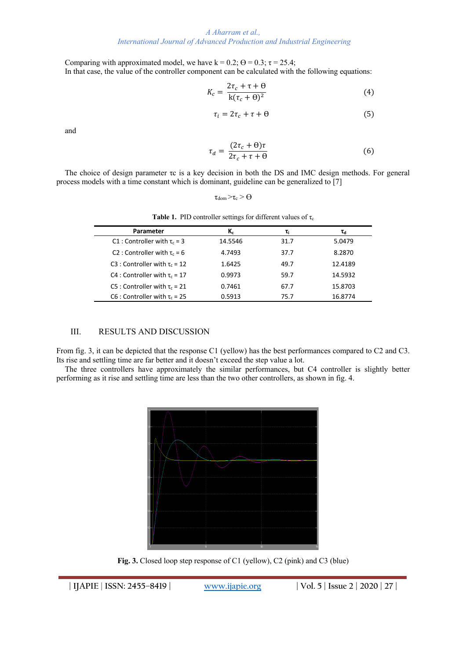Comparing with approximated model, we have  $k = 0.2$ ;  $\Theta = 0.3$ ;  $\tau = 25.4$ ; In that case, the value of the controller component can be calculated with the following equations:

$$
K_c = \frac{2\tau_c + \tau + \Theta}{k(\tau_c + \Theta)^2}
$$
 (4)

$$
\tau_i = 2\tau_c + \tau + \Theta \tag{5}
$$

and

$$
\tau_d = \frac{(2\tau_c + \theta)\tau}{2\tau_c + \tau + \theta} \tag{6}
$$

The choice of design parameter τc is a key decision in both the DS and IMC design methods. For general process models with a time constant which is dominant, guideline can be generalized to [7]

$$
\tau_{dom}{>}\tau_c{>}\,\Theta
$$

| Parameter                          | Κc      | τı   | Т٢      |
|------------------------------------|---------|------|---------|
| C1 : Controller with $\tau_c$ = 3  | 14.5546 | 31.7 | 5.0479  |
| C2 : Controller with $\tau_c$ = 6  | 4.7493  | 37.7 | 8.2870  |
| C3 : Controller with $\tau_c$ = 12 | 1.6425  | 49.7 | 12.4189 |
| C4 : Controller with $\tau_c$ = 17 | 0.9973  | 59.7 | 14.5932 |
| C5 : Controller with $\tau_c$ = 21 | 0.7461  | 67.7 | 15.8703 |
| C6 : Controller with $\tau_c$ = 25 | 0.5913  | 75.7 | 16.8774 |

**Table 1.** PID controller settings for different values of  $\tau_c$ 

## III. RESULTS AND DISCUSSION

From fig. 3, it can be depicted that the response C1 (yellow) has the best performances compared to C2 and C3. Its rise and settling time are far better and it doesn't exceed the step value a lot.

The three controllers have approximately the similar performances, but C4 controller is slightly better performing as it rise and settling time are less than the two other controllers, as shown in fig. 4.



Fig. 3. Closed loop step response of C1 (yellow), C2 (pink) and C3 (blue)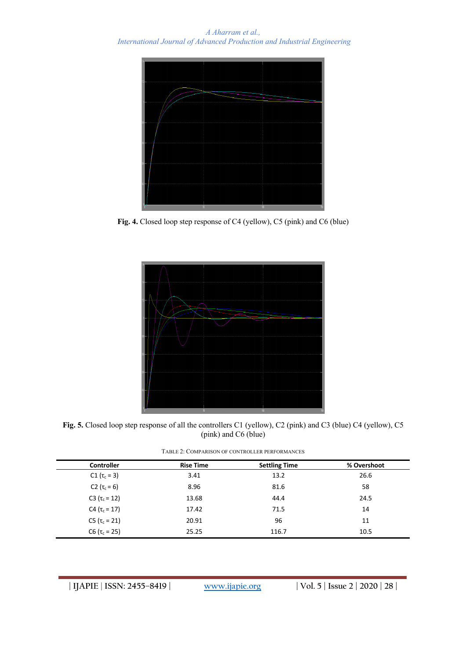

**Fig. 4.** Closed loop step response of C4 (yellow), C5 (pink) and C6 (blue)



**Fig. 5.** Closed loop step response of all the controllers C1 (yellow), C2 (pink) and C3 (blue) C4 (yellow), C5 (pink) and C6 (blue)

| <b>Controller</b>     | <b>Rise Time</b> | <b>Settling Time</b> | % Overshoot |  |
|-----------------------|------------------|----------------------|-------------|--|
| $C1$ ( $\tau_c$ = 3)  | 3.41             | 13.2                 | 26.6        |  |
| C2 ( $\tau_c$ = 6)    | 8.96             | 81.6                 | 58          |  |
| C3 ( $\tau_c$ = 12)   | 13.68            | 44.4                 | 24.5        |  |
| $C4$ ( $\tau_c$ = 17) | 17.42            | 71.5                 | 14          |  |
| $C5$ ( $\tau_c$ = 21) | 20.91            | 96                   | 11          |  |
| $C6$ ( $\tau_c$ = 25) | 25.25            | 116.7                | 10.5        |  |
|                       |                  |                      |             |  |